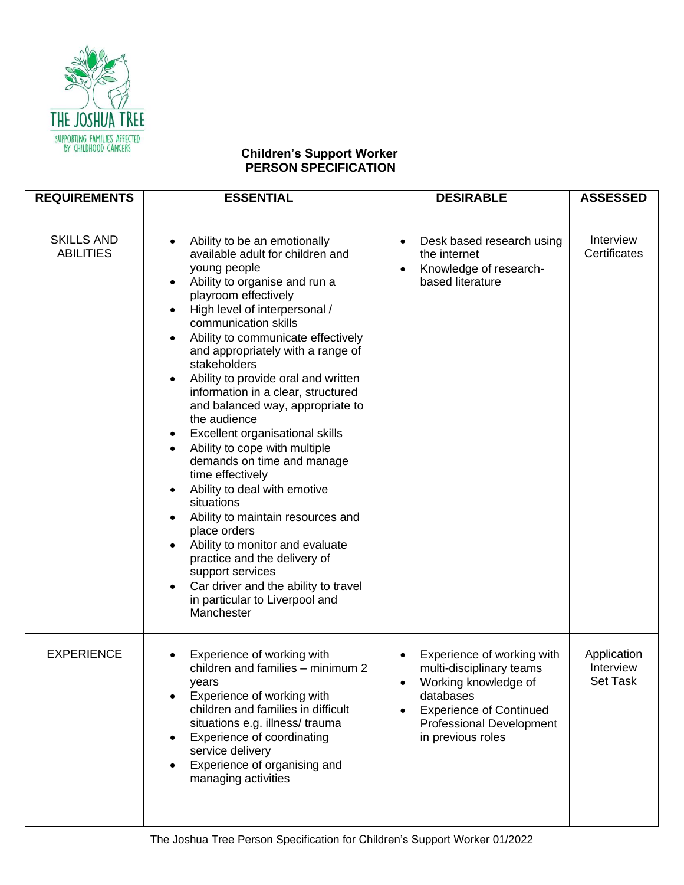

## **Children's Support Worker PERSON SPECIFICATION**

| <b>REQUIREMENTS</b>                   | <b>ESSENTIAL</b>                                                                                                                                                                                                                                                                                                                                                                                                                                                                                                                                                                                                                                                                                                                                                                                                                                                                                                                                                              | <b>DESIRABLE</b>                                                                                                                                                                                        | <b>ASSESSED</b>                             |
|---------------------------------------|-------------------------------------------------------------------------------------------------------------------------------------------------------------------------------------------------------------------------------------------------------------------------------------------------------------------------------------------------------------------------------------------------------------------------------------------------------------------------------------------------------------------------------------------------------------------------------------------------------------------------------------------------------------------------------------------------------------------------------------------------------------------------------------------------------------------------------------------------------------------------------------------------------------------------------------------------------------------------------|---------------------------------------------------------------------------------------------------------------------------------------------------------------------------------------------------------|---------------------------------------------|
| <b>SKILLS AND</b><br><b>ABILITIES</b> | Ability to be an emotionally<br>$\bullet$<br>available adult for children and<br>young people<br>Ability to organise and run a<br>$\bullet$<br>playroom effectively<br>High level of interpersonal /<br>$\bullet$<br>communication skills<br>Ability to communicate effectively<br>$\bullet$<br>and appropriately with a range of<br>stakeholders<br>Ability to provide oral and written<br>$\bullet$<br>information in a clear, structured<br>and balanced way, appropriate to<br>the audience<br>Excellent organisational skills<br>$\bullet$<br>Ability to cope with multiple<br>$\bullet$<br>demands on time and manage<br>time effectively<br>Ability to deal with emotive<br>٠<br>situations<br>Ability to maintain resources and<br>$\bullet$<br>place orders<br>Ability to monitor and evaluate<br>$\bullet$<br>practice and the delivery of<br>support services<br>Car driver and the ability to travel<br>$\bullet$<br>in particular to Liverpool and<br>Manchester | Desk based research using<br>$\bullet$<br>the internet<br>Knowledge of research-<br>$\bullet$<br>based literature                                                                                       | Interview<br>Certificates                   |
| <b>EXPERIENCE</b>                     | Experience of working with<br>$\bullet$<br>children and families - minimum 2<br>years<br>Experience of working with<br>children and families in difficult<br>situations e.g. illness/ trauma<br>Experience of coordinating<br>$\bullet$<br>service delivery<br>Experience of organising and<br>managing activities                                                                                                                                                                                                                                                                                                                                                                                                                                                                                                                                                                                                                                                            | Experience of working with<br>٠<br>multi-disciplinary teams<br>Working knowledge of<br>$\bullet$<br>databases<br><b>Experience of Continued</b><br><b>Professional Development</b><br>in previous roles | Application<br>Interview<br><b>Set Task</b> |